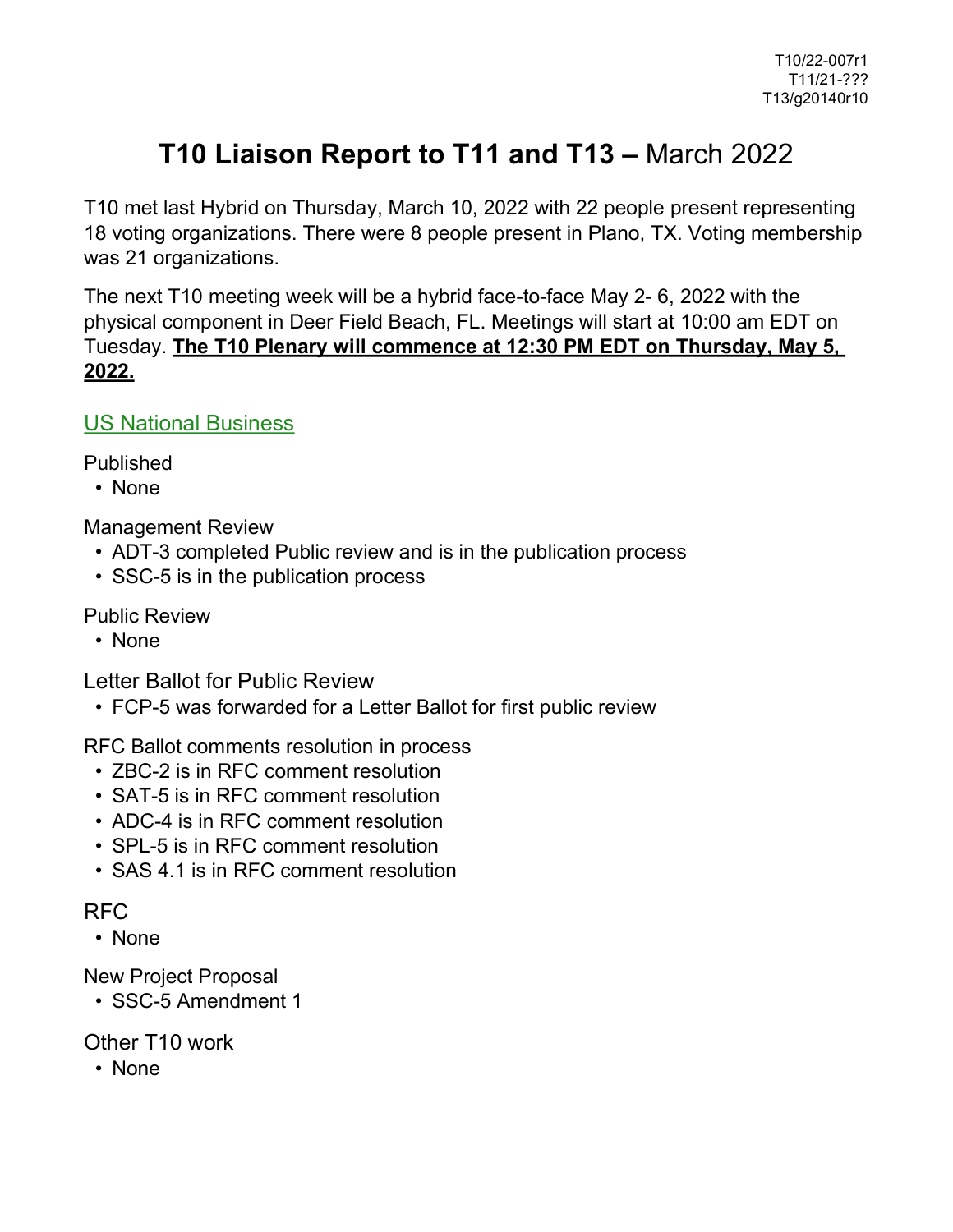## **T10 Liaison Report to T11 and T13 –** March 2022

T10 met last Hybrid on Thursday, March 10, 2022 with 22 people present representing 18 voting organizations. There were 8 people present in Plano, TX. Voting membership was 21 organizations.

The next T10 meeting week will be a hybrid face-to-face May 2- 6, 2022 with the physical component in Deer Field Beach, FL. Meetings will start at 10:00 am EDT on Tuesday. **The T10 Plenary will commence at 12:30 PM EDT on Thursday, May 5, 2022.**

US National Business

Published

• None

Management Review

- ADT-3 completed Public review and is in the publication process
- SSC-5 is in the publication process

Public Review

• None

Letter Ballot for Public Review

• FCP-5 was forwarded for a Letter Ballot for first public review

RFC Ballot comments resolution in process

- ZBC-2 is in RFC comment resolution
- SAT-5 is in RFC comment resolution
- ADC-4 is in RFC comment resolution
- SPL-5 is in RFC comment resolution
- SAS 4.1 is in RFC comment resolution

## RFC

• None

New Project Proposal

• SSC-5 Amendment 1

Other T10 work

• None